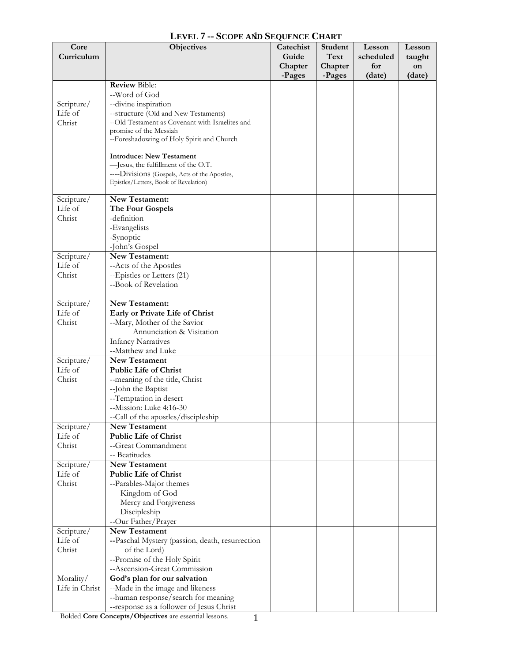| Core                  | <b>Objectives</b>                                    | Catechist | Student | Lesson    | Lesson |
|-----------------------|------------------------------------------------------|-----------|---------|-----------|--------|
| Curriculum            |                                                      | Guide     | Text    | scheduled | taught |
|                       |                                                      | Chapter   | Chapter | for       | on     |
|                       |                                                      | -Pages    | -Pages  | (date)    | (date) |
|                       | <b>Review Bible:</b>                                 |           |         |           |        |
|                       | --Word of God                                        |           |         |           |        |
| Scripture/            | --divine inspiration                                 |           |         |           |        |
| Life of               | --structure (Old and New Testaments)                 |           |         |           |        |
| Christ                | --Old Testament as Covenant with Israelites and      |           |         |           |        |
|                       | promise of the Messiah                               |           |         |           |        |
|                       | --Foreshadowing of Holy Spirit and Church            |           |         |           |        |
|                       | <b>Introduce: New Testament</b>                      |           |         |           |        |
|                       | -Jesus, the fulfillment of the O.T.                  |           |         |           |        |
|                       | ----Divisions (Gospels, Acts of the Apostles,        |           |         |           |        |
|                       | Epistles/Letters, Book of Revelation)                |           |         |           |        |
|                       |                                                      |           |         |           |        |
| Scripture/            | New Testament:                                       |           |         |           |        |
| Life of               | The Four Gospels                                     |           |         |           |        |
| Christ                | -definition                                          |           |         |           |        |
|                       | -Evangelists                                         |           |         |           |        |
|                       | -Synoptic                                            |           |         |           |        |
|                       | -John's Gospel                                       |           |         |           |        |
| Scripture/            | New Testament:                                       |           |         |           |        |
| Life of               | --Acts of the Apostles                               |           |         |           |        |
| Christ                | --Epistles or Letters (21)                           |           |         |           |        |
|                       | --Book of Revelation                                 |           |         |           |        |
|                       |                                                      |           |         |           |        |
| Scripture/            | New Testament:                                       |           |         |           |        |
| Life of               | Early or Private Life of Christ                      |           |         |           |        |
| Christ                | --Mary, Mother of the Savior                         |           |         |           |        |
|                       | Annunciation & Visitation                            |           |         |           |        |
|                       | <b>Infancy Narratives</b>                            |           |         |           |        |
|                       | --Matthew and Luke                                   |           |         |           |        |
| Scripture/<br>Life of | <b>New Testament</b><br><b>Public Life of Christ</b> |           |         |           |        |
| Christ                |                                                      |           |         |           |        |
|                       | --meaning of the title, Christ                       |           |         |           |        |
|                       | --John the Baptist<br>--Temptation in desert         |           |         |           |        |
|                       | --Mission: Luke 4:16-30                              |           |         |           |        |
|                       | --Call of the apostles/discipleship                  |           |         |           |        |
| Scripture/            | <b>New Testament</b>                                 |           |         |           |        |
| Life of               | <b>Public Life of Christ</b>                         |           |         |           |        |
| Christ                | --Great Commandment                                  |           |         |           |        |
|                       | -- Beatitudes                                        |           |         |           |        |
| Scripture/            | <b>New Testament</b>                                 |           |         |           |        |
| Life of               | <b>Public Life of Christ</b>                         |           |         |           |        |
| Christ                | --Parables-Major themes                              |           |         |           |        |
|                       | Kingdom of God                                       |           |         |           |        |
|                       | Mercy and Forgiveness                                |           |         |           |        |
|                       | Discipleship                                         |           |         |           |        |
|                       | --Our Father/Prayer                                  |           |         |           |        |
| Scripture/            | <b>New Testament</b>                                 |           |         |           |        |
| Life of               | --Paschal Mystery (passion, death, resurrection      |           |         |           |        |
| Christ                | of the Lord)                                         |           |         |           |        |
|                       | --Promise of the Holy Spirit                         |           |         |           |        |
|                       | --Ascension-Great Commission                         |           |         |           |        |
| Morality/             | God's plan for our salvation                         |           |         |           |        |
| Life in Christ        | --Made in the image and likeness                     |           |         |           |        |
|                       | --human response/search for meaning                  |           |         |           |        |
|                       | -- response as a follower of Jesus Christ            |           |         |           |        |

## **LEVEL 7 -- SCOPE AND SEQUENCE CHART**  1

Bolded **Core Concepts/Objectives** are essential lessons.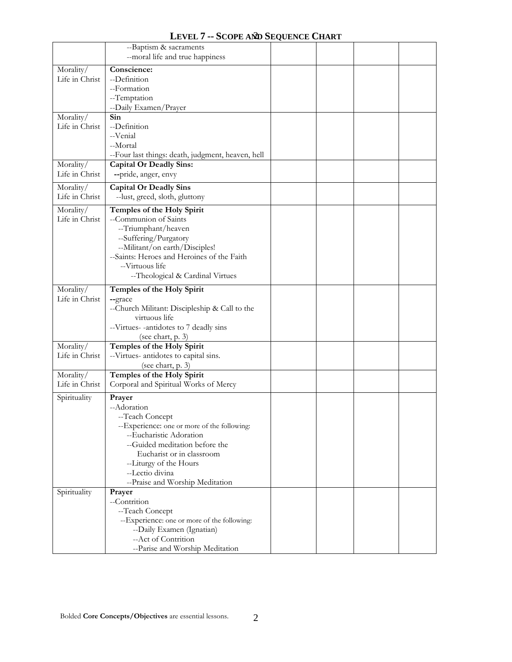|                | --Baptism & sacraments                            |  |  |
|----------------|---------------------------------------------------|--|--|
|                | --moral life and true happiness                   |  |  |
| Morality/      | Conscience:                                       |  |  |
| Life in Christ | --Definition                                      |  |  |
|                | --Formation                                       |  |  |
|                | --Temptation                                      |  |  |
|                | --Daily Examen/Prayer                             |  |  |
| Morality/      | Sin                                               |  |  |
| Life in Christ | --Definition                                      |  |  |
|                | --Venial                                          |  |  |
|                | --Mortal                                          |  |  |
|                | --Four last things: death, judgment, heaven, hell |  |  |
| Morality/      | <b>Capital Or Deadly Sins:</b>                    |  |  |
| Life in Christ | --pride, anger, envy                              |  |  |
| Morality/      | <b>Capital Or Deadly Sins</b>                     |  |  |
| Life in Christ | --lust, greed, sloth, gluttony                    |  |  |
| Morality/      | Temples of the Holy Spirit                        |  |  |
| Life in Christ | --Communion of Saints                             |  |  |
|                | --Triumphant/heaven                               |  |  |
|                | --Suffering/Purgatory                             |  |  |
|                | --Militant/on earth/Disciples!                    |  |  |
|                | --Saints: Heroes and Heroines of the Faith        |  |  |
|                | --Virtuous life                                   |  |  |
|                | --Theological & Cardinal Virtues                  |  |  |
| Morality/      | Temples of the Holy Spirit                        |  |  |
| Life in Christ | --grace                                           |  |  |
|                | --Church Militant: Discipleship & Call to the     |  |  |
|                | virtuous life                                     |  |  |
|                | --Virtues--antidotes to 7 deadly sins             |  |  |
|                | (see chart, p. 3)                                 |  |  |
| Morality/      | Temples of the Holy Spirit                        |  |  |
| Life in Christ | --Virtues- antidotes to capital sins.             |  |  |
|                | (see chart, p. 3)                                 |  |  |
| Morality/      | Temples of the Holy Spirit                        |  |  |
| Life in Christ | Corporal and Spiritual Works of Mercy             |  |  |
| Spirituality   | Prayer                                            |  |  |
|                | --Adoration                                       |  |  |
|                | -Teach Concept                                    |  |  |
|                | --Experience: one or more of the following:       |  |  |
|                | --Eucharistic Adoration                           |  |  |
|                | --Guided meditation before the                    |  |  |
|                | Eucharist or in classroom                         |  |  |
|                | --Liturgy of the Hours                            |  |  |
|                | --Lectio divina                                   |  |  |
|                | --Praise and Worship Meditation                   |  |  |
| Spirituality   | Prayer                                            |  |  |
|                | --Contrition                                      |  |  |
|                | --Teach Concept                                   |  |  |
|                | --Experience: one or more of the following:       |  |  |
|                | --Daily Examen (Ignatian)                         |  |  |
|                | --Act of Contrition                               |  |  |
|                | --Parise and Worship Meditation                   |  |  |

**LEVEL 7 -- SCOPE AND SEQUENCE CHART**  2